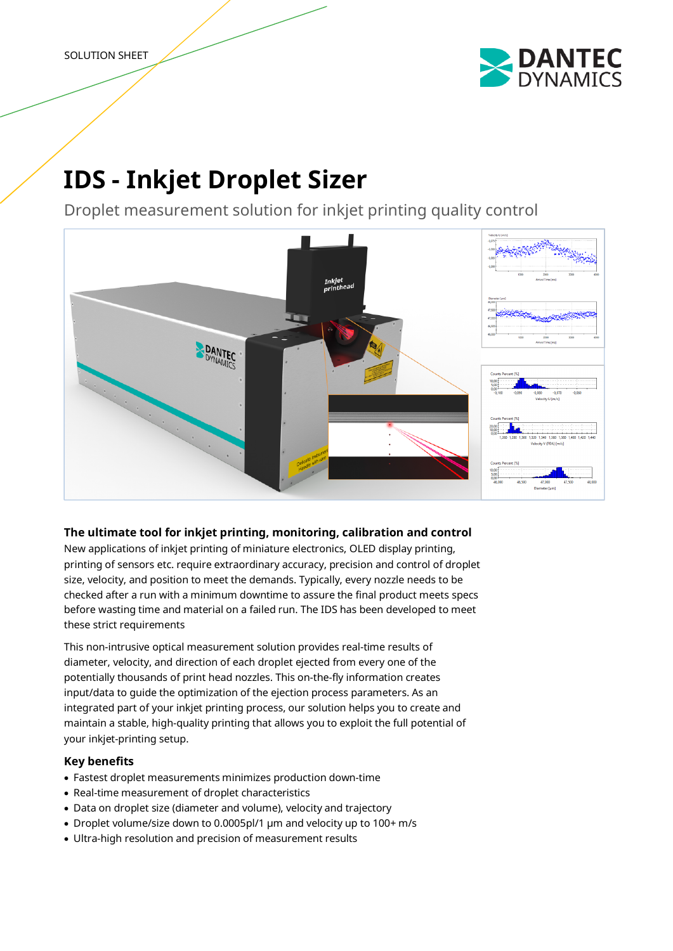

# **IDS - Inkjet Droplet Sizer**

Droplet measurement solution for inkjet printing quality control



# **The ultimate tool for inkjet printing, monitoring, calibration and control**

New applications of inkjet printing of miniature electronics, OLED display printing, printing of sensors etc. require extraordinary accuracy, precision and control of droplet size, velocity, and position to meet the demands. Typically, every nozzle needs to be checked after a run with a minimum downtime to assure the final product meets specs before wasting time and material on a failed run. The IDS has been developed to meet these strict requirements

This non-intrusive optical measurement solution provides real-time results of diameter, velocity, and direction of each droplet ejected from every one of the potentially thousands of print head nozzles. This on-the-fly information creates input/data to guide the optimization of the ejection process parameters. As an integrated part of your inkjet printing process, our solution helps you to create and maintain a stable, high-quality printing that allows you to exploit the full potential of your inkjet-printing setup.

## **Key benefits**

- Fastest droplet measurements minimizes production down-time
- Real-time measurement of droplet characteristics
- Data on droplet size (diameter and volume), velocity and trajectory
- Droplet volume/size down to 0.0005pl/1 µm and velocity up to 100+ m/s
- Ultra-high resolution and precision of measurement results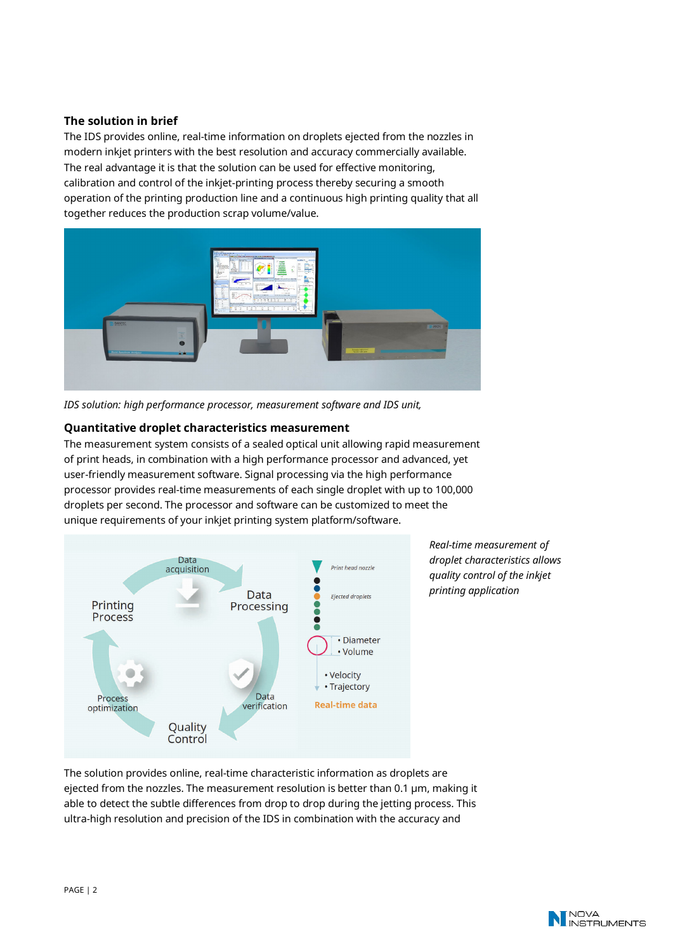### **The solution in brief**

The IDS provides online, real-time information on droplets ejected from the nozzles in modern inkjet printers with the best resolution and accuracy commercially available. The real advantage it is that the solution can be used for effective monitoring, calibration and control of the inkjet-printing process thereby securing a smooth operation of the printing production line and a continuous high printing quality that all together reduces the production scrap volume/value.



*IDS solution: high performance processor, measurement software and IDS unit,* 

#### **Quantitative droplet characteristics measurement**

The measurement system consists of a sealed optical unit allowing rapid measurement of print heads, in combination with a high performance processor and advanced, yet user-friendly measurement software. Signal processing via the high performance processor provides real-time measurements of each single droplet with up to 100,000 droplets per second. The processor and software can be customized to meet the unique requirements of your inkjet printing system platform/software.



*Real-time measurement of droplet characteristics allows quality control of the inkjet printing application* 

The solution provides online, real-time characteristic information as droplets are ejected from the nozzles. The measurement resolution is better than 0.1 µm, making it able to detect the subtle differences from drop to drop during the jetting process. This ultra-high resolution and precision of the IDS in combination with the accuracy and